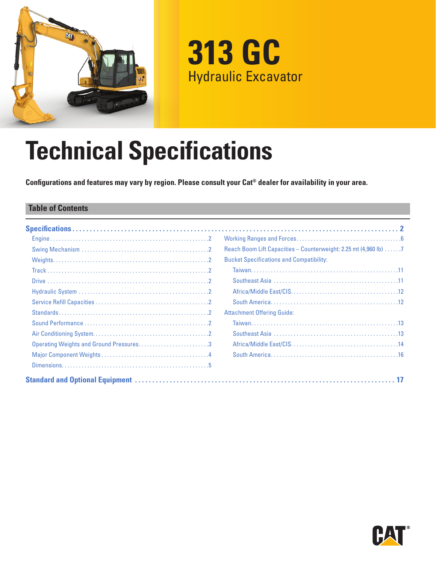

**313 GC** Hydraulic Excavator

# **Technical Specifications**

**Configurations and features may vary by region. Please consult your Cat® dealer for availability in your area.**

#### **Table of Contents**

|                                         | Reach Boom Lift Capacities - Counterweight: 2.25 mt (4,960 lb) 7 |
|-----------------------------------------|------------------------------------------------------------------|
|                                         | <b>Bucket Specifications and Compatibility:</b>                  |
|                                         |                                                                  |
|                                         |                                                                  |
|                                         |                                                                  |
|                                         |                                                                  |
|                                         | <b>Attachment Offering Guide:</b>                                |
|                                         |                                                                  |
|                                         |                                                                  |
| Operating Weights and Ground Pressures3 |                                                                  |
|                                         |                                                                  |
|                                         |                                                                  |
|                                         |                                                                  |

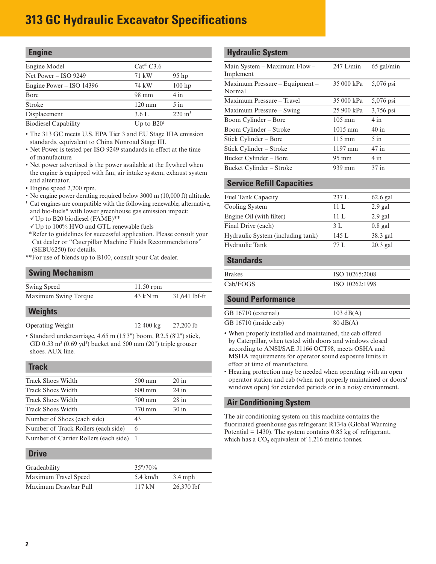<span id="page-1-0"></span>

| <b>Engine</b>                                  |                                |                       |
|------------------------------------------------|--------------------------------|-----------------------|
| Engine Model                                   | $Cat^{\circledR} C3.6$         |                       |
| Net Power $-$ ISO 9249                         | 71 kW                          | $95$ hp               |
| Engine Power $-$ ISO 14396                     | 74 kW                          | $100$ hp              |
| Bore                                           | 98 mm                          | 4 in                  |
| Stroke                                         | $120 \text{ mm}$               | $5$ in                |
| Displacement                                   | 3.6L                           | $220$ in <sup>3</sup> |
| $\mathbf{D}$ and $\mathbf{C}$ and $\mathbf{D}$ | $H_{\text{max}}$ to $D \Omega$ |                       |

Biodiesel Capability Up to B20

• The 313 GC meets U.S. EPA Tier 3 and EU Stage IIIA emission standards, equivalent to China Nonroad Stage III.

- Net Power is tested per ISO 9249 standards in effect at the time of manufacture.
- Net power advertised is the power available at the flywheel when the engine is equipped with fan, air intake system, exhaust system and alternator.
- Engine speed 2,200 rpm.
- No engine power derating required below 3000 m (10,000 ft) altitude.
- <sup>1</sup> Cat engines are compatible with the following renewable, alternative, and bio-fuels\* with lower greenhouse gas emission impact:
- $V$ Up to B20 biodiesel (FAME)\*\*
- $V$ Up to 100% HVO and GTL renewable fuels
- \*\*Refer to guidelines for successful application. Please consult your Cat dealer or "Caterpillar Machine Fluids Recommendations" (SEBU6250) for details.
- \*\*For use of blends up to B100, consult your Cat dealer.

#### **Swing Mechanism**

| Swing Speed          | $11.50$ rpm       |               |
|----------------------|-------------------|---------------|
| Maximum Swing Torque | $43$ kN $\cdot$ m | 31,641 lbf-ft |

#### **Weights**

Operating Weight 12 400 kg 27,200 lb

• Standard undercarriage, 4.65 m (15'3") boom, R2.5 (8'2") stick, GD  $0.53 \text{ m}^3$  (0.69 yd<sup>3</sup>) bucket and 500 mm (20") triple grouser shoes. AUX line.

#### **Track**

| <b>Track Shoes Width</b>              | $500 \text{ mm}$ | $20$ in |
|---------------------------------------|------------------|---------|
| <b>Track Shoes Width</b>              | $600 \text{ mm}$ | $24$ in |
| Track Shoes Width                     | 700 mm           | $28$ in |
| <b>Track Shoes Width</b>              | 770 mm           | 30 in   |
| Number of Shoes (each side)           | 43               |         |
| Number of Track Rollers (each side)   | 6                |         |
| Number of Carrier Rollers (each side) |                  |         |

#### **Drive**

| -----                |                    |              |
|----------------------|--------------------|--------------|
|                      |                    |              |
| Gradeability         | $35^{\circ}/70\%$  |              |
| Maximum Travel Speed | $5.4 \text{ km/h}$ | $3.4$ mph    |
| Maximum Drawbar Pull | 117kN              | $26,370$ lbf |

#### **Hydraulic System**

| Main System $-$ Maximum Flow $-$ | $247$ L/min       | $65$ gal/min |
|----------------------------------|-------------------|--------------|
| Implement                        |                   |              |
| Maximum Pressure - Equipment -   | 35 000 kPa        | 5,076 psi    |
| Normal                           |                   |              |
| Maximum Pressure - Travel        | 35 000 kPa        | 5,076 psi    |
| Maximum Pressure – Swing         | 25 900 kPa        | 3,756 psi    |
| Boom Cylinder – Bore             | $105 \text{ mm}$  | $4$ in       |
| Boom Cylinder – Stroke           | $1015 \text{ mm}$ | $40$ in      |
| Stick Cylinder – Bore            | $115 \text{ mm}$  | $5$ in       |
| Stick Cylinder – Stroke          | $1197$ mm         | $47$ in      |
| Bucket Cylinder - Bore           | $95 \text{ mm}$   | $4$ in       |
| Bucket Cylinder – Stroke         | 939 mm            | $37$ in      |

#### **Service Refill Capacities**

| <b>Fuel Tank Capacity</b>         | 237L  | $62.6$ gal |
|-----------------------------------|-------|------------|
| Cooling System                    | 11L   | $2.9$ gal  |
| Engine Oil (with filter)          | 11 L  | $2.9$ gal  |
| Final Drive (each)                | 3 L   | $0.8$ gal  |
| Hydraulic System (including tank) | 145 L | 38.3 gal   |
| Hydraulic Tank                    | 77 L  | $20.3$ gal |
|                                   |       |            |

#### **Standards**

| <b>Brakes</b> | ISO 10265:2008 |
|---------------|----------------|
| Cab/FOGS      | ISO 10262:1998 |

#### **Sound Performance**

| GB 16710 (external)   | $103 \text{ dB}(A)$ |
|-----------------------|---------------------|
| GB 16710 (inside cab) | $80 \text{ dB}(A)$  |

- When properly installed and maintained, the cab offered by Caterpillar, when tested with doors and windows closed according to ANSI/SAE J1166 OCT98, meets OSHA and MSHA requirements for operator sound exposure limits in effect at time of manufacture.
- Hearing protection may be needed when operating with an open operator station and cab (when not properly maintained or doors/ windows open) for extended periods or in a noisy environment.

#### **Air Conditioning System**

The air conditioning system on this machine contains the fluorinated greenhouse gas refrigerant R134a (Global Warming Potential  $= 1430$ ). The system contains 0.85 kg of refrigerant, which has a  $CO<sub>2</sub>$  equivalent of 1.216 metric tonnes.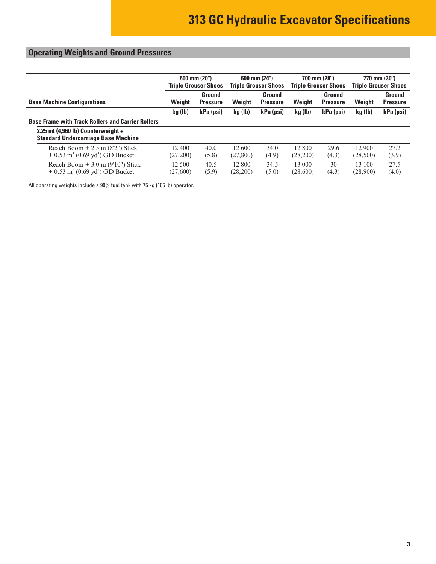### <span id="page-2-0"></span>**Operating Weights and Ground Pressures**

|                                                                                                | 500 mm (20")<br><b>Triple Grouser Shoes</b> |                           | 600 mm (24")<br><b>Triple Grouser Shoes</b> |                           | 700 mm (28")<br><b>Triple Grouser Shoes</b> |                           | 770 mm (30")<br><b>Triple Grouser Shoes</b> |                           |
|------------------------------------------------------------------------------------------------|---------------------------------------------|---------------------------|---------------------------------------------|---------------------------|---------------------------------------------|---------------------------|---------------------------------------------|---------------------------|
| <b>Base Machine Configurations</b>                                                             | Weight                                      | Ground<br><b>Pressure</b> | Weight                                      | Ground<br><b>Pressure</b> | Weight                                      | Ground<br><b>Pressure</b> | Weight                                      | Ground<br><b>Pressure</b> |
|                                                                                                | kg (lb)                                     | kPa (psi)                 | kg (lb)                                     | kPa (psi)                 | kg (lb)                                     | kPa (psi)                 | kg (lb)                                     | kPa (psi)                 |
| <b>Base Frame with Track Rollers and Carrier Rollers</b>                                       |                                             |                           |                                             |                           |                                             |                           |                                             |                           |
| 2.25 mt $(4,960 \text{ lb})$ Counterweight +<br><b>Standard Undercarriage Base Machine</b>     |                                             |                           |                                             |                           |                                             |                           |                                             |                           |
| Reach Boom $+2.5$ m (8'2") Stick<br>$+ 0.53$ m <sup>3</sup> (0.69 yd <sup>3</sup> ) GD Bucket  | 12 400<br>(27,200)                          | 40.0<br>(5.8)             | 12 600<br>(27,800)                          | 34.0<br>(4.9)             | 12 800<br>(28,200)                          | 29.6<br>(4.3)             | 12 900<br>(28,500)                          | 27.2<br>(3.9)             |
| Reach Boom $+3.0$ m (9'10") Stick<br>$+ 0.53$ m <sup>3</sup> (0.69 yd <sup>3</sup> ) GD Bucket | 12 500<br>(27,600)                          | 40.5<br>(5.9)             | 12 800<br>(28,200)                          | 34.5<br>(5.0)             | 13 000<br>(28,600)                          | 30<br>(4.3)               | 13 100<br>(28,900)                          | 27.5<br>(4.0)             |

All operating weights include a 90% fuel tank with 75 kg (165 lb) operator.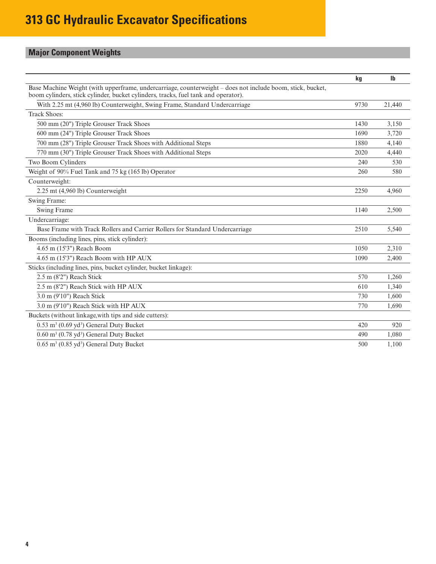### <span id="page-3-0"></span>**Major Component Weights**

|                                                                                                                                                                                                  | kg   | <b>Ib</b> |
|--------------------------------------------------------------------------------------------------------------------------------------------------------------------------------------------------|------|-----------|
| Base Machine Weight (with upperframe, undercarriage, counterweight – does not include boom, stick, bucket,<br>boom cylinders, stick cylinder, bucket cylinders, tracks, fuel tank and operator). |      |           |
| With 2.25 mt (4,960 lb) Counterweight, Swing Frame, Standard Undercarriage                                                                                                                       | 9730 | 21,440    |
| <b>Track Shoes:</b>                                                                                                                                                                              |      |           |
| 500 mm (20") Triple Grouser Track Shoes                                                                                                                                                          | 1430 | 3.150     |
| 600 mm (24") Triple Grouser Track Shoes                                                                                                                                                          | 1690 | 3.720     |
| 700 mm (28") Triple Grouser Track Shoes with Additional Steps                                                                                                                                    | 1880 | 4,140     |
| 770 mm (30") Triple Grouser Track Shoes with Additional Steps                                                                                                                                    | 2020 | 4,440     |
| Two Boom Cylinders                                                                                                                                                                               | 240  | 530       |
| Weight of 90% Fuel Tank and 75 kg (165 lb) Operator                                                                                                                                              | 260  | 580       |
| Counterweight:                                                                                                                                                                                   |      |           |
| 2.25 mt (4,960 lb) Counterweight                                                                                                                                                                 | 2250 | 4,960     |
| Swing Frame:                                                                                                                                                                                     |      |           |
| Swing Frame                                                                                                                                                                                      | 1140 | 2,500     |
| Undercarriage:                                                                                                                                                                                   |      |           |
| Base Frame with Track Rollers and Carrier Rollers for Standard Undercarriage                                                                                                                     | 2510 | 5,540     |
| Booms (including lines, pins, stick cylinder):                                                                                                                                                   |      |           |
| 4.65 m (15'3") Reach Boom                                                                                                                                                                        | 1050 | 2,310     |
| 4.65 m (15'3") Reach Boom with HP AUX                                                                                                                                                            | 1090 | 2,400     |
| Sticks (including lines, pins, bucket cylinder, bucket linkage):                                                                                                                                 |      |           |
| $2.5$ m $(8'2'')$ Reach Stick                                                                                                                                                                    | 570  | 1,260     |
| 2.5 m (8'2") Reach Stick with HP AUX                                                                                                                                                             | 610  | 1.340     |
| 3.0 m (9'10") Reach Stick                                                                                                                                                                        | 730  | 1.600     |
| 3.0 m (9'10") Reach Stick with HP AUX                                                                                                                                                            | 770  | 1,690     |
| Buckets (without linkage, with tips and side cutters):                                                                                                                                           |      |           |
| $0.53$ m <sup>3</sup> (0.69 yd <sup>3</sup> ) General Duty Bucket                                                                                                                                | 420  | 920       |
| $0.60$ m <sup>3</sup> $(0.78$ yd <sup>3</sup> ) General Duty Bucket                                                                                                                              | 490  | 1.080     |
| $0.65$ m <sup>3</sup> (0.85 yd <sup>3</sup> ) General Duty Bucket                                                                                                                                | 500  | 1.100     |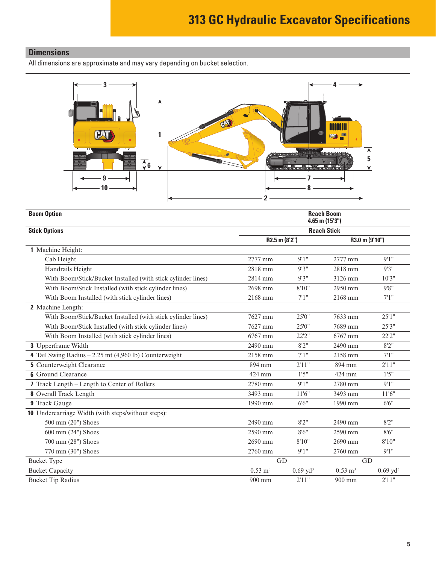#### <span id="page-4-0"></span>**Dimensions**

All dimensions are approximate and may vary depending on bucket selection.



| <b>Boom Option</b>                                           |                    | <b>Reach Boom</b><br>$4.65$ m $(15'3'')$ |                        |                     |  |  |
|--------------------------------------------------------------|--------------------|------------------------------------------|------------------------|---------------------|--|--|
| <b>Stick Options</b>                                         |                    | <b>Reach Stick</b>                       |                        |                     |  |  |
|                                                              | R2.5 m (8'2")      |                                          | R3.0 m (9'10")         |                     |  |  |
| 1 Machine Height:                                            |                    |                                          |                        |                     |  |  |
| Cab Height                                                   | 2777 mm            | 9'1''                                    | 2777 mm                | 9'1''               |  |  |
| Handrails Height                                             | 2818 mm            | 9'3''                                    | 2818 mm                | 9'3''               |  |  |
| With Boom/Stick/Bucket Installed (with stick cylinder lines) | 2814 mm            | 9'3''                                    | 3126 mm                | 10'3''              |  |  |
| With Boom/Stick Installed (with stick cylinder lines)        | 2698 mm            | 8'10"                                    | 2950 mm                | 9'8''               |  |  |
| With Boom Installed (with stick cylinder lines)              | 2168 mm            | 7'1''                                    | 2168 mm                | 7'1''               |  |  |
| 2 Machine Length:                                            |                    |                                          |                        |                     |  |  |
| With Boom/Stick/Bucket Installed (with stick cylinder lines) | 7627 mm            | 25'0''                                   | 7633 mm                | 25'1''              |  |  |
| With Boom/Stick Installed (with stick cylinder lines)        | 7627 mm            | 25'0"                                    | 7689 mm                | 25'3''              |  |  |
| With Boom Installed (with stick cylinder lines)              | 6767 mm            | 22'2"                                    | 6767 mm                | 22'2"               |  |  |
| 3 Upperframe Width                                           | 2490 mm            | 8'2''                                    | 2490 mm                | 8'2''               |  |  |
| 4 Tail Swing Radius $-2.25$ mt (4,960 lb) Counterweight      | 2158 mm            | 7'1''                                    | 2158 mm                | 7'1''               |  |  |
| <b>5</b> Counterweight Clearance                             | 894 mm             | 2'11"                                    | 894 mm                 | 2'11"               |  |  |
| <b>6</b> Ground Clearance                                    | 424 mm             | 1'5''                                    | 424 mm                 | 1'5''               |  |  |
| 7 Track Length – Length to Center of Rollers                 | 2780 mm            | 9'1''                                    | 2780 mm                | 9'1''               |  |  |
| 8 Overall Track Length                                       | 3493 mm            | 11'6''                                   | 3493 mm                | 11'6"               |  |  |
| 9 Track Gauge                                                | 1990 mm            | 6'6''                                    | 1990 mm                | 6'6''               |  |  |
| 10 Undercarriage Width (with steps/without steps):           |                    |                                          |                        |                     |  |  |
| 500 mm (20") Shoes                                           | 2490 mm            | 8'2''                                    | 2490 mm                | 8'2''               |  |  |
| 600 mm (24") Shoes                                           | 2590 mm            | 8'6''                                    | 2590 mm                | 8'6''               |  |  |
| 700 mm (28") Shoes                                           | 2690 mm            | 8'10"                                    | 2690 mm                | 8'10"               |  |  |
| 770 mm (30") Shoes                                           | 2760 mm            | 9'1''                                    | 2760 mm                | 9'1''               |  |  |
| <b>Bucket Type</b>                                           | GD                 |                                          | GD                     |                     |  |  |
| <b>Bucket Capacity</b>                                       | $0.53 \text{ m}^3$ | $0.69 \text{ yd}^3$                      | $0.53 \; \mathrm{m}^3$ | $0.69 \text{ yd}^3$ |  |  |
| <b>Bucket Tip Radius</b>                                     | 900 mm             | 2'11"                                    | $900 \text{ mm}$       | 2'11"               |  |  |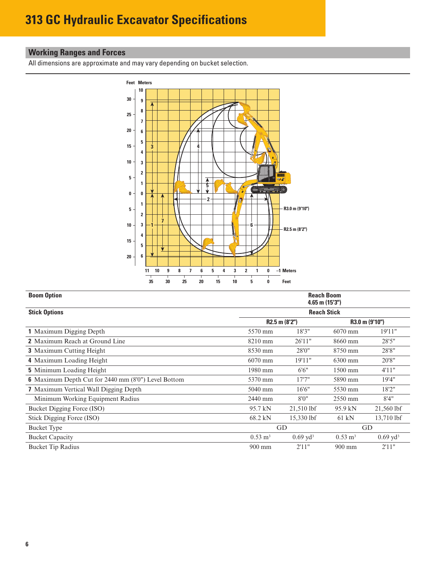#### <span id="page-5-0"></span>**Working Ranges and Forces**

All dimensions are approximate and may vary depending on bucket selection.



| <b>Boom Option</b>                                  |                    |                     | <b>Reach Boom</b><br>$4.65$ m $(15'3'')$ |                     |
|-----------------------------------------------------|--------------------|---------------------|------------------------------------------|---------------------|
| <b>Stick Options</b>                                |                    |                     | <b>Reach Stick</b>                       |                     |
|                                                     |                    | $R2.5$ m $(8'2'')$  |                                          | R3.0 m (9'10")      |
| 1 Maximum Digging Depth                             | 5570 mm            | 18'3"               | $6070$ mm                                | 19'11"              |
| <b>2</b> Maximum Reach at Ground Line               | $8210$ mm          | 26'11"              | 8660 mm                                  | 28'5"               |
| <b>3</b> Maximum Cutting Height                     | 8530 mm            | 28'0"               | 8750 mm                                  | 28'8"               |
| 4 Maximum Loading Height                            | $6070$ mm          | 19'11"              | 6300 mm                                  | 20'8"               |
| <b>5</b> Minimum Loading Height                     | 1980 mm            | 6'6''               | 1500 mm                                  | 4'11"               |
| 6 Maximum Depth Cut for 2440 mm (8'0") Level Bottom | 5370 mm            | 17'7''              | 5890 mm                                  | 19'4"               |
| <b>7</b> Maximum Vertical Wall Digging Depth        | 5040 mm            | 16'6"               | 5530 mm                                  | 18'2"               |
| Minimum Working Equipment Radius                    | 2440 mm            | 8'0''               | 2550 mm                                  | 8'4''               |
| Bucket Digging Force (ISO)                          | 95.7 kN            | $21,510$ lbf        | 95.9 kN                                  | 21,560 lbf          |
| Stick Digging Force (ISO)                           | 68.2 kN            | 15,330 lbf          | $61$ kN                                  | 13,710 lbf          |
| <b>Bucket Type</b>                                  |                    | GD                  |                                          | GD                  |
| <b>Bucket Capacity</b>                              | $0.53 \text{ m}^3$ | $0.69 \text{ yd}^3$ | $0.53 \text{ m}^3$                       | $0.69 \text{ yd}^3$ |
| <b>Bucket Tip Radius</b>                            | $900 \text{ mm}$   | 2'11"               | $900 \text{ mm}$                         | 2'11"               |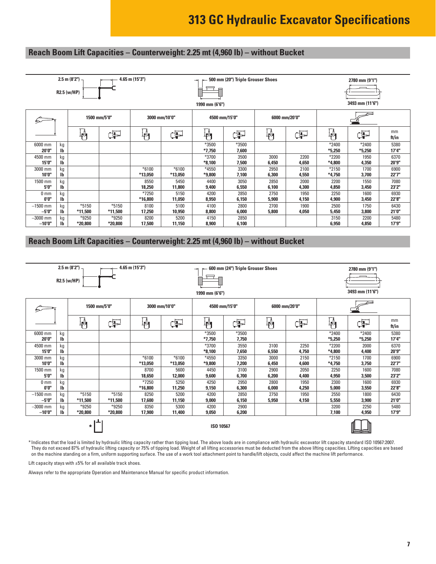#### <span id="page-6-0"></span>**Reach Boom Lift Capacities – Counterweight: 2.25 mt (4,960 lb) – without Bucket**

|                          |                                 | 2.5 m (8'2") $-$<br>R2.5 (w/HP) |                  | 4.65 m (15'3")     |                    | ⇥<br>Ē<br>目<br>1990 mm (6'6") | 500 mm (20") Triple Grouser Shoes |               |               |                     | 2780 mm (9'1")<br>3493 mm (11'6") |               |
|--------------------------|---------------------------------|---------------------------------|------------------|--------------------|--------------------|-------------------------------|-----------------------------------|---------------|---------------|---------------------|-----------------------------------|---------------|
|                          | 1500 mm/5'0"<br>3000 mm/10'0"   |                                 |                  |                    |                    | 4500 mm/15'0"                 |                                   | 6000 mm/20'0" |               |                     |                                   |               |
|                          |                                 | 判                               | F                | Œ<br>判             |                    | ⊥ր<br>4                       | Þ                                 | ₽             | ¢P            | $\mathbb{F}^4$      | F                                 | mm<br>ft/in   |
| 6000 mm<br>20'0"         | kg<br>$\mathsf{I}^{\mathsf{b}}$ |                                 |                  |                    |                    | *3500<br>$*7,750$             | *3500<br>7,600                    |               |               | $*2400$<br>$*5,250$ | *2400<br>$*5,250$                 | 5380<br>17'4" |
| 4500 mm<br>15'0"         | kg<br>lb                        |                                 |                  |                    |                    | *3700<br>$*8,100$             | 3500<br>7,500                     | 3000<br>6,450 | 2200<br>4,650 | $*2200$<br>*4,800   | 1950<br>4,350                     | 6370<br>20'9" |
| 3000 mm<br>10'0"         | kg<br><b>Ib</b>                 |                                 |                  | $*6100$<br>*13,050 | $*6100$<br>*13,050 | *4550<br>*9,800               | 3300<br>7,100                     | 2950<br>6,300 | 2100<br>4,550 | $*2150$<br>$*4,750$ | 1700<br>3,700                     | 6900<br>22'7" |
| 1500 mm<br>5'0"          | kg<br>$\mathsf{I}^{\mathsf{b}}$ |                                 |                  | 8550<br>18,250     | 5450<br>11,800     | 4400<br>9,400                 | 3050<br>6,550                     | 2850<br>6,100 | 2000<br>4,300 | 2200<br>4,850       | 1550<br>3,450                     | 7080<br>23'2" |
| 0 <sub>mm</sub><br>0'0'' | kg<br>Ib                        |                                 |                  | *7250<br>*16,800   | 5150<br>11,050     | 4200<br>8,950                 | 2850<br>6,150                     | 2750<br>5,900 | 1950<br>4,150 | 2250<br>4,900       | 1600<br>3,450                     | 6930<br>22'8" |
| $-1500$ mm<br>$-5'0''$   | kg<br>$\mathbf{I}$              | $*5150$<br>*11,500              | *5150<br>*11,500 | 8100<br>17,250     | 5100<br>10,950     | 4100<br>8,800                 | 2800<br>6,000                     | 2700<br>5,800 | 1900<br>4,050 | 2500<br>5,450       | 1750<br>3,800                     | 6430<br>21'0" |
| $-3000$ mm<br>$-10'0"$   | kg<br>Ib                        | *9250<br>*20,800                | *9250<br>*20,800 | 8200<br>17,500     | 5200<br>11,150     | 4150<br>8,900                 | 2850<br>6,100                     |               |               | 3150<br>6,950       | 2200<br>4,850                     | 5480<br>17'9" |

#### **Reach Boom Lift Capacities – Counterweight: 2.25 mt (4,960 lb) – without Bucket**

|                                                                                                                                                                   | R2.5 (w/HP)                     | $2.5$ m $(8'2'')$  |                           | 4.65 m (15'3")     |                    | ⇥<br>₿<br>E<br>1990 mm (6'6") | 600 mm (24") Triple Grouser Shoes |               |               |                   | 2780 mm (9'1")<br>3493 mm (11'6") |                |
|-------------------------------------------------------------------------------------------------------------------------------------------------------------------|---------------------------------|--------------------|---------------------------|--------------------|--------------------|-------------------------------|-----------------------------------|---------------|---------------|-------------------|-----------------------------------|----------------|
|                                                                                                                                                                   |                                 | 1500 mm/5'0"       |                           | 3000 mm/10'0"      |                    | 4500 mm/15'0"                 |                                   | 6000 mm/20'0" |               |                   |                                   |                |
|                                                                                                                                                                   | 枘<br>Þ<br>軜<br>Œ                |                    | $\mathbb{F}^{\mathbb{N}}$ | ď                  | 判                  | Þ                             | 軥                                 | 手             | mm<br>ft/in   |                   |                                   |                |
| 6000 mm<br>20'0"                                                                                                                                                  | kg<br>$\mathbf{I}$              |                    |                           |                    |                    | *3500<br>$*7,750$             | *3500<br>7,750                    |               |               | *2400<br>$*5,250$ | *2400<br>$*5,250$                 | 5380<br>17'4"  |
| 4500 mm<br>15'0"                                                                                                                                                  | kg<br>Ib                        |                    |                           |                    |                    | *3700<br>$*8,100$             | 3550<br>7,650                     | 3100<br>6,550 | 2250<br>4,750 | *2200<br>*4,800   | 2000<br>4,400                     | 6370<br>20'9"  |
| 3000 mm<br>10'0"                                                                                                                                                  | kg<br>Ib                        |                    |                           | $*6100$<br>*13,050 | $*6100$<br>*13,050 | *4550<br>*9,800               | 3350<br>7,200                     | 3000<br>6,450 | 2150<br>4,600 | *2150<br>$*4,750$ | 1700<br>3,750                     | 6900<br>22'7"  |
| 1500 mm<br>5'0"                                                                                                                                                   | kg<br>$\mathsf{I}^{\mathsf{b}}$ |                    |                           | 8700<br>18,650     | 5600<br>12,000     | 4450<br>9,600                 | 3100<br>6,700                     | 2900<br>6,200 | 2050<br>4,400 | 2250<br>4,950     | 1600<br>3,500                     | 7080<br>23'2"  |
| 0 <sub>mm</sub><br>0'0''                                                                                                                                          | kg<br>$\mathbf{I}$              |                    |                           | *7250<br>*16,800   | 5250<br>11,250     | 4250<br>9,150                 | 2950<br>6,300                     | 2800<br>6,000 | 1950<br>4,250 | 2300<br>5,000     | 1600<br>3,550                     | 6930<br>22'8"  |
| $-1500$ mm<br>$-5'0''$                                                                                                                                            | kg<br>$\mathbf{I}$              | $*5150$<br>*11,500 | *5150<br>*11,500          | 8250<br>17,600     | 5200<br>11,150     | 4200<br>9,000                 | 2850<br>6,150                     | 2750<br>5,950 | 1950<br>4,150 | 2550<br>5,550     | 1800<br>3,900                     | 6430<br>21'0"  |
| $*9250$<br>$*9250$<br>2900<br>$-3000$ mm<br>kg<br>8350<br>5300<br>4200<br>$-10'0''$<br>$\mathbf{I}$<br>$*20,800$<br>6,200<br>*20,800<br>17,900<br>11,400<br>9,050 |                                 |                    |                           |                    |                    |                               |                                   |               |               |                   | 2250<br>4,950                     | 5480<br>17'9'' |
| $\star$<br>ISO 10567                                                                                                                                              |                                 |                    |                           |                    |                    |                               |                                   |               |               |                   |                                   |                |

\* Indicates that the load is limited by hydraulic lifting capacity rather than tipping load. The above loads are in compliance with hydraulic excavator lift capacity standard ISO 10567:2007. They do not exceed 87% of hydraulic lifting capacity or 75% of tipping load. Weight of all lifting accessories must be deducted from the above lifting capacities. Lifting capacities are based on the machine standing on a firm, uniform supporting surface. The use of a work tool attachment point to handle/lift objects, could affect the machine lift performance.

Lift capacity stays with ±5% for all available track shoes.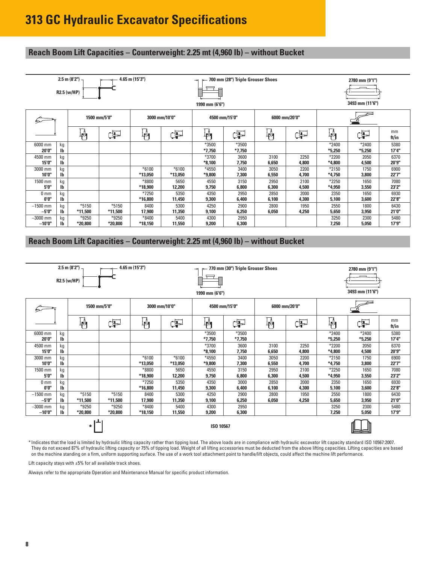#### **Reach Boom Lift Capacities – Counterweight: 2.25 mt (4,960 lb) – without Bucket**

|                          |                                 | 2.5 m (8'2") $\neg$<br>R2.5 (w/HP) |                    | 4.65 m (15'3")      |                    | $\rightarrow$<br>▤<br>▤<br>1990 mm (6'6") | 700 mm (28") Triple Grouser Shoes |               |               |                     | 2780 mm (9'1")<br>3493 mm (11'6") |               |
|--------------------------|---------------------------------|------------------------------------|--------------------|---------------------|--------------------|-------------------------------------------|-----------------------------------|---------------|---------------|---------------------|-----------------------------------|---------------|
|                          |                                 | 1500 mm/5'0"                       |                    | 3000 mm/10'0"       |                    | 4500 mm/15'0"                             |                                   | 6000 mm/20'0" |               |                     |                                   |               |
|                          |                                 | 判                                  | Þ                  | $\mathbb{F}_1$<br>F |                    | 砜                                         | Œ                                 | ال<br>ال      | Œ             | ╟╢                  | Œ                                 | mm<br>ft/in   |
| 6000 mm<br>20'0"         | kg<br>$\mathsf{I}^{\mathsf{b}}$ |                                    |                    |                     |                    | *3500<br>$*7,750$                         | *3500<br>$*7,750$                 |               |               | $*2400$<br>$*5,250$ | $*2400$<br>$*5,250$               | 5380<br>17'4" |
| 4500 mm<br>15'0"         | kg<br>$\mathsf{I}^{\mathsf{b}}$ |                                    |                    |                     |                    | *3700<br>$*8,100$                         | 3600<br>7,750                     | 3100<br>6,650 | 2250<br>4,800 | $*2200$<br>*4,800   | 2050<br>4,500                     | 6370<br>20'9" |
| 3000 mm<br>10'0"         | kg<br>$\mathsf{I}^{\mathsf{b}}$ |                                    |                    | $*6100$<br>*13,050  | $*6100$<br>*13,050 | *4550<br>*9,800                           | 3400<br>7,300                     | 3050<br>6,550 | 2200<br>4,700 | $*2150$<br>$*4,750$ | 1750<br>3,800                     | 6900<br>22'7" |
| 1500 mm<br>5'0"          | kg<br>$\mathsf{I}^{\mathsf{b}}$ |                                    |                    | *8800<br>*18,900    | 5650<br>12,200     | 4550<br>9,750                             | 3150<br>6,800                     | 2950<br>6,300 | 2100<br>4,500 | $*2250$<br>*4,950   | 1650<br>3,550                     | 7080<br>23'2" |
| 0 <sub>mm</sub><br>0'0'' | kg<br>$\mathbf{I}$              |                                    |                    | *7250<br>*16,800    | 5350<br>11,450     | 4350<br>9,300                             | 2950<br>6,400                     | 2850<br>6,100 | 2000<br>4,300 | 2350<br>5,100       | 1650<br>3,600                     | 6930<br>22'8" |
| $-1500$ mm<br>-5'0"      | kg<br>Ib                        | *5150<br>*11,500                   | $*5150$<br>*11,500 | 8400<br>17,900      | 5300<br>11,350     | 4250<br>9,100                             | 2900<br>6,250                     | 2800<br>6,050 | 1950<br>4,250 | 2550<br>5,650       | 1800<br>3,950                     | 6430<br>21'0" |
| $-3000$ mm<br>$-10'0''$  | kg<br>$\mathbf{I}$              | *9250<br>*20,800                   | *9250<br>*20,800   | $*8400$<br>*18,150  | 5400<br>11,550     | 4300<br>9,200                             | 2950<br>6,300                     |               |               | 3250<br>7,250       | 2300<br>5,050                     | 5480<br>17'9" |

#### **Reach Boom Lift Capacities – Counterweight: 2.25 mt (4,960 lb) – without Bucket**

|                                                                                                                                                                    | R2.5 (w/HP)                     | $2.5$ m (8'2") $-$ |                  | 4.65 m (15'3")     |                    | ⇥<br>₿<br>l                     | 770 mm (30") Triple Grouser Shoes |               |               |                     | 2780 mm (9'1")<br>3493 mm (11'6") |                |
|--------------------------------------------------------------------------------------------------------------------------------------------------------------------|---------------------------------|--------------------|------------------|--------------------|--------------------|---------------------------------|-----------------------------------|---------------|---------------|---------------------|-----------------------------------|----------------|
|                                                                                                                                                                    |                                 | 1500 mm/5'0"       |                  | 3000 mm/10'0"      |                    | 1990 mm (6'6")<br>4500 mm/15'0" |                                   | 6000 mm/20'0" |               |                     |                                   |                |
|                                                                                                                                                                    |                                 | 艸                  | Œ                | ĮĄ<br>Œ            |                    | կ≬<br>+                         | 中                                 | 判             | Œ             | $\mathbb{F}_1$      | 乍                                 | mm<br>ft/in    |
| 6000 mm<br>20'0"                                                                                                                                                   | kg<br>$\mathsf{I}^{\mathsf{b}}$ |                    |                  |                    |                    | *3500<br>$*7,750$               | *3500<br>$*7,750$                 |               |               | $*2400$<br>$*5,250$ | $*2400$<br>$*5,250$               | 5380<br>17'4"  |
| 4500 mm<br>15'0"                                                                                                                                                   | kg<br>Ib                        |                    |                  |                    |                    | *3700<br>$*8,100$               | 3600<br>7,750                     | 3100<br>6,650 | 2250<br>4,800 | *2200<br>$*4,800$   | 2050<br>4,500                     | 6370<br>20'9"  |
| 3000 mm<br>10'0"                                                                                                                                                   | kg<br>$\mathsf{I}^{\mathsf{b}}$ |                    |                  | $*6100$<br>*13,050 | $*6100$<br>*13,050 | *4550<br>*9,800                 | 3400<br>7,300                     | 3050<br>6,550 | 2200<br>4,700 | $*2150$<br>$*4,750$ | 1750<br>3,800                     | 6900<br>22'7"  |
| 1500 mm<br>5'0"                                                                                                                                                    | kg<br>Ib                        |                    |                  | *8800<br>*18,900   | 5650<br>12,200     | 4550<br>9,750                   | 3150<br>6,800                     | 2950<br>6,300 | 2100<br>4,500 | $*2250$<br>*4,950   | 1650<br>3,550                     | 7080<br>23'2"  |
| 0 <sub>mm</sub><br>0'0''                                                                                                                                           | kg<br>$\mathsf{I}^{\mathsf{b}}$ |                    |                  | *7250<br>*16,800   | 5350<br>11,450     | 4350<br>9,300                   | 3000<br>6,400                     | 2850<br>6.100 | 2000<br>4,300 | 2350<br>5,100       | 1650<br>3,600                     | 6930<br>22'8"  |
| $-1500$ mm<br>$-5'0''$                                                                                                                                             | kg<br>Ib                        | $*5150$<br>*11,500 | *5150<br>*11,500 | 8400<br>17,900     | 5300<br>11,350     | 4250<br>9,100                   | 2900<br>6,250                     | 2800<br>6,050 | 1950<br>4,250 | 2550<br>5,650       | 1800<br>3,950                     | 6430<br>21'0"  |
| $*9250$<br>$*9250$<br>$*8400$<br>$-3000$ mm<br>5400<br>4300<br>2950<br>kg<br>$-10'0''$<br><b>Ib</b><br>*20,800<br>$*20,800$<br>*18,150<br>11,550<br>9,200<br>6,300 |                                 |                    |                  |                    |                    |                                 |                                   |               |               | 3250<br>7,250       | 2300<br>5,050                     | 5480<br>17'9'' |
| $\star$<br>ISO 10567                                                                                                                                               |                                 |                    |                  |                    |                    |                                 |                                   |               |               |                     |                                   |                |

\* Indicates that the load is limited by hydraulic lifting capacity rather than tipping load. The above loads are in compliance with hydraulic excavator lift capacity standard ISO 10567:2007. They do not exceed 87% of hydraulic lifting capacity or 75% of tipping load. Weight of all lifting accessories must be deducted from the above lifting capacities. Lifting capacities are based on the machine standing on a firm, uniform supporting surface. The use of a work tool attachment point to handle/lift objects, could affect the machine lift performance.

Lift capacity stays with ±5% for all available track shoes.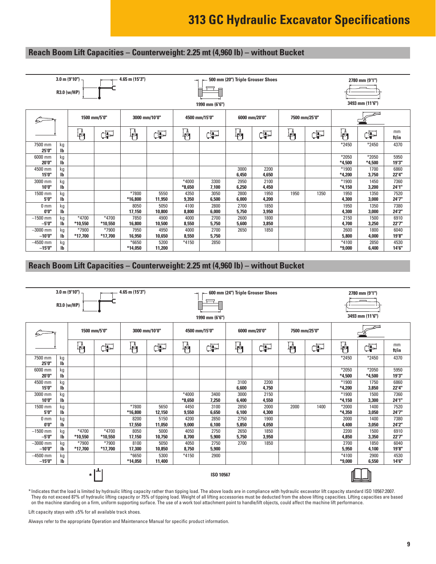#### **Reach Boom Lift Capacities – Counterweight: 2.25 mt (4,960 lb) – without Bucket**

|                          | $3.0$ m (9'10") -<br>4.65 m (15'3")<br>R3.0 (w/HP) |                  |                    |                  |                | $\rightarrow$     | ▤              | 500 mm (20") Triple Grouser Shoes |               |               |      |                     | 2780 mm (9'1")    |               |
|--------------------------|----------------------------------------------------|------------------|--------------------|------------------|----------------|-------------------|----------------|-----------------------------------|---------------|---------------|------|---------------------|-------------------|---------------|
|                          |                                                    |                  |                    |                  |                |                   | 1990 mm (6'6") |                                   |               |               |      |                     | 3493 mm (11'6")   |               |
|                          |                                                    | 1500 mm/5'0"     |                    | 3000 mm/10'0"    |                | 4500 mm/15'0"     |                | 6000 mm/20'0"                     |               | 7500 mm/25'0" |      |                     |                   |               |
|                          |                                                    | 砜                | F                  | կ≬<br>Ք¶         | Þ              | ╟╜                | 中              | ╬                                 | Œ             | ╬╢            | Œ    | 吶                   | Ë                 | mm<br>ft/in   |
| 7500 mm<br>25'0"         | kg<br>$\mathsf{I}\mathsf{b}$                       |                  |                    |                  |                |                   |                |                                   |               |               |      | $*2450$             | $*2450$           | 4370          |
| 6000 mm<br>20'0"         | kg<br>$\mathsf{I}^{\mathsf{b}}$                    |                  |                    |                  |                |                   |                |                                   |               |               |      | $*2050$<br>$*4.500$ | *2050<br>$*4.500$ | 5950<br>19'3" |
| 4500 mm<br>15'0"         | kg<br>$\mathbf{I}$                                 |                  |                    |                  |                |                   |                | 3000<br>6,450                     | 2200<br>4,650 |               |      | $*1900$<br>$*4.200$ | 1700<br>3,750     | 6860<br>22'4" |
| 3000 mm<br>10'0"         | kg<br>$\mathbf{I}$                                 |                  |                    |                  |                | *4000<br>$*8.650$ | 3300<br>7,100  | 2950<br>6.250                     | 2100<br>4,450 |               |      | $*1900$<br>$*4.150$ | 1450<br>3,200     | 7360<br>24'1" |
| 1500 mm<br>5'0"          | kg<br>$\mathbf{I}$                                 |                  |                    | *7800<br>*16,800 | 5550<br>11,950 | 4350<br>9,350     | 3050<br>6,500  | 2800<br>6,000                     | 1950<br>4,200 | 1950          | 1350 | 1950<br>4,300       | 1350<br>3,000     | 7520<br>24'7" |
| 0 <sub>mm</sub><br>0'0'' | kg<br>$\mathbf{I}$                                 |                  |                    | 8050<br>17,150   | 5050<br>10,800 | 4100<br>8,800     | 2800<br>6,000  | 2700<br>5,750                     | 1850<br>3,950 |               |      | 1950<br>4,300       | 1350<br>3,000     | 7380<br>24'2" |
| $-1500$ mm<br>$-5'0''$   | kg<br>$\mathbf{I}$                                 | *4700<br>*10,550 | $*4700$<br>*10,550 | 7850<br>16,800   | 4900<br>10,500 | 4000<br>8,550     | 2700<br>5,750  | 2600<br>5,600                     | 1800<br>3,850 |               |      | 2150<br>4,700       | 1500<br>3,250     | 6910<br>22'7" |
| $-3000$ mm<br>$-10'0''$  | kg<br>$\mathbf{I}$                                 | *7900<br>*17,700 | *7900<br>*17,700   | 7950<br>16,950   | 4950<br>10,650 | 4000<br>8,550     | 2700<br>5,750  | 2650                              | 1850          |               |      | 2600<br>5,800       | 1800<br>4,000     | 6040<br>19'8" |
| $-4500$ mm<br>$-15'0''$  | kg<br>lb                                           |                  |                    | *6650<br>*14,050 | 5200<br>11,200 | $*4150$           | 2850           |                                   |               |               |      | $*4100$<br>$*9,000$ | 2850<br>6,400     | 4530<br>14'6" |

#### **Reach Boom Lift Capacities – Counterweight: 2.25 mt (4,960 lb) – without Bucket**

|                         | R3.0 (w/HP)                     | $3.0 \text{ m}$ (9'10") |                    | 4.65 m (15'3")   |                                   | $\rightarrow$     | Ē<br>1990 mm (6'6") | 600 mm (24") Triple Grouser Shoes |               |               |      |                     | 2780 mm (9'1")<br>3493 mm (11'6") |               |
|-------------------------|---------------------------------|-------------------------|--------------------|------------------|-----------------------------------|-------------------|---------------------|-----------------------------------|---------------|---------------|------|---------------------|-----------------------------------|---------------|
|                         |                                 | 1500 mm/5'0"            |                    | 3000 mm/10'0"    |                                   | 4500 mm/15'0"     |                     | 6000 mm/20'0"                     |               | 7500 mm/25'0" |      |                     |                                   |               |
|                         |                                 | 動                       | ¢P                 | 抖                | ďP                                | 吶                 | æ                   | ₩                                 | ¢P            | 動             | Œ    | $\mathbb{F}_1$      | ¢P                                | mm<br>ft/in   |
| 7500 mm<br>25'0"        | kg<br>lb                        |                         |                    |                  |                                   |                   |                     |                                   |               |               |      | $*2450$             | *2450                             | 4370          |
| 6000 mm<br>20'0"        | kg<br>$\mathsf{I}^{\mathsf{b}}$ |                         |                    |                  |                                   |                   |                     |                                   |               |               |      | $*2050$<br>$*4.500$ | $*2050$<br>$*4,500$               | 5950<br>19'3" |
| 4500 mm<br>15'0"        | kg<br>$\mathbf{I}$              |                         |                    |                  |                                   |                   |                     | 3100<br>6,600                     | 2200<br>4,750 |               |      | *1900<br>$*4.200$   | 1750<br>3,850                     | 6860<br>22'4" |
| 3000 mm<br>10'0"        | kg<br>Ib                        |                         |                    |                  |                                   | *4000<br>$*8,650$ | 3400<br>7,250       | 3000<br>6,400                     | 2150<br>4,550 |               |      | $*1900$<br>$*4,150$ | 1500<br>3,300                     | 7360<br>24'1" |
| 1500 mm<br>5'0"         | kg<br>$\mathbf{I}$              |                         |                    | *7800<br>*16,800 | 5650<br>12,150                    | 4450<br>9,550     | 3100<br>6,650       | 2850<br>6.100                     | 2000<br>4,300 | 2000          | 1400 | *2000<br>$*4,350$   | 1400<br>3,050                     | 7520<br>24'7" |
| 0 <sub>mm</sub><br>0'0" | kg<br>$\mathbf{I}$              |                         |                    | 8200<br>17,550   | 5150<br>11,050                    | 4200<br>9,000     | 2850<br>6,100       | 2750<br>5,850                     | 1900<br>4,050 |               |      | 2000<br>4,400       | 1400<br>3,050                     | 7380<br>24'2" |
| $-1500$ mm<br>$-5'0''$  | kg<br>$\mathbf{I}$              | *4700<br>*10,550        | *4700<br>*10.550   | 8050<br>17,150   | 5000<br>10,750                    | 4050<br>8,700     | 2750<br>5,900       | 2650<br>5,750                     | 1850<br>3,950 |               |      | 2200<br>4,850       | 1500<br>3,350                     | 6910<br>22'7" |
| $-3000$ mm<br>$-10'0''$ | kg<br>$\mathbf{I}$              | $*7900$<br>*17,700      | $*7900$<br>*17,700 | 8100<br>17,300   | 5050<br>10,850                    | 4050<br>8,750     | 2750<br>5,900       | 2700                              | 1850          |               |      | 2700<br>5,950       | 1850<br>4,100                     | 6040<br>19'8" |
| $-4500$ mm<br>$-15'0''$ | kg<br>lb                        |                         |                    | *6650<br>*14,050 | $*4150$<br>2900<br>5300<br>11,400 |                   |                     |                                   |               |               |      |                     | 2900<br>6,550                     | 4530<br>14'6" |
| ISO 10567<br>$\star$    |                                 |                         |                    |                  |                                   |                   |                     |                                   |               |               |      |                     |                                   |               |

\* Indicates that the load is limited by hydraulic lifting capacity rather than tipping load. The above loads are in compliance with hydraulic excavator lift capacity standard ISO 10567:2007. They do not exceed 87% of hydraulic lifting capacity or 75% of tipping load. Weight of all lifting accessories must be deducted from the above lifting capacities. Lifting capacities are based on the machine standing on a firm, uniform supporting surface. The use of a work tool attachment point to handle/lift objects, could affect the machine lift performance.

Lift capacity stays with  $\pm 5\%$  for all available track shoes.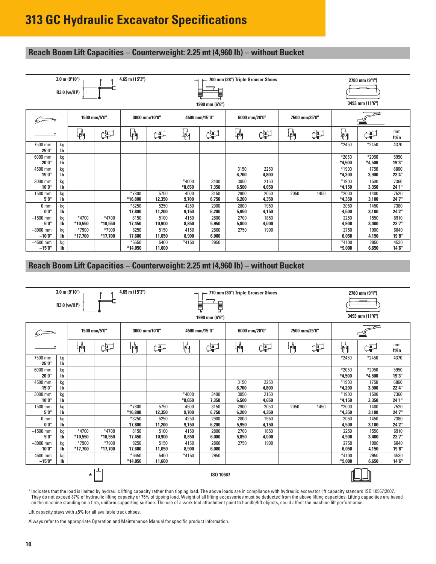#### **Reach Boom Lift Capacities – Counterweight: 2.25 mt (4,960 lb) – without Bucket**

|                          |                                 | $3.0$ m (9'10") $-$<br>R3.0 (w/HP) |                    | 4.65 m (15'3")     |                | ⇥                   | ▤<br>1990 mm (6'6") | 700 mm (28") Triple Grouser Shoes |               |               |      |                     | 2780 mm (9'1")<br>3493 mm (11'6") |               |
|--------------------------|---------------------------------|------------------------------------|--------------------|--------------------|----------------|---------------------|---------------------|-----------------------------------|---------------|---------------|------|---------------------|-----------------------------------|---------------|
| ঌ                        |                                 | 1500 mm/5'0"                       |                    | 3000 mm/10'0"      |                | 4500 mm/15'0"       |                     |                                   | 6000 mm/20'0" | 7500 mm/25'0" |      |                     |                                   |               |
|                          |                                 | 判                                  | ¢P                 | ₩                  | Þ              | ╬┪                  | Þ                   | ₩                                 | Þ             | ╬╢            | Œ    | կ≬<br>†Պ            | ⋥                                 | mm<br>ft/in   |
| 7500 mm<br>25'0"         | kg<br>Ib                        |                                    |                    |                    |                |                     |                     |                                   |               |               |      | $*2450$             | $*2450$                           | 4370          |
| 6000 mm<br>20'0"         | kg<br>Ib                        |                                    |                    |                    |                |                     |                     |                                   |               |               |      | *2050<br>$*4.500$   | *2050<br>$*4,500$                 | 5950<br>19'3" |
| 4500 mm<br>15'0"         | kg<br>$\mathbf{I}$              |                                    |                    |                    |                |                     |                     | 3150<br>6,700                     | 2250<br>4,800 |               |      | $*1900$<br>$*4.200$ | 1750<br>3,900                     | 6860<br>22'4" |
| 3000 mm<br>10'0"         | kg<br>lb                        |                                    |                    |                    |                | $*4000$<br>$*8,650$ | 3400<br>7,350       | 3050<br>6,500                     | 2150<br>4,650 |               |      | *1900<br>$*4,150$   | 1500<br>3,350                     | 7360<br>24'1" |
| 1500 mm<br>5'0"          | kg<br>$\mathsf{I}^{\mathsf{b}}$ |                                    |                    | *7800<br>*16,800   | 5750<br>12,350 | 4500<br>9,700       | 3150<br>6,750       | 2900<br>6,200                     | 2050<br>4,350 | 2050          | 1450 | $*2000$<br>$*4,350$ | 1400<br>3,100                     | 7520<br>24'7" |
| 0 <sub>mm</sub><br>0'0'' | kg<br>$\mathsf{I}\mathsf{b}$    |                                    |                    | $*8250$<br>17,800  | 5250<br>11,200 | 4250<br>9,150       | 2900<br>6,200       | 2800<br>5,950                     | 1950<br>4,150 |               |      | 2050<br>4,500       | 1450<br>3,100                     | 7380<br>24'2" |
| $-1500$ mm<br>$-5'0''$   | kg<br>lb                        | $*4700$<br>*10,550                 | $*4700$<br>*10,550 | 8150<br>17,450     | 5100<br>10,900 | 4150<br>8,850       | 2800<br>5,950       | 2700<br>5,800                     | 1850<br>4,000 |               |      | 2250<br>4,900       | 1550<br>3,400                     | 6910<br>22'7" |
| $-3000$ mm<br>$-10'0''$  | kg<br>Ib                        | *7900<br>*17,700                   | *7900<br>$*17,700$ | 8250<br>17,600     | 5150<br>11,050 | 4150<br>8,900       | 2800<br>6,000       | 2750                              | 1900          |               |      | 2750<br>6,050       | 1900<br>4,150                     | 6040<br>19'8" |
| $-4500$ mm<br>$-15'0''$  | kg<br><b>lb</b>                 |                                    |                    | $*6650$<br>*14,050 | 5400<br>11,600 | $*4150$             | 2950                |                                   |               |               |      | $*4100$<br>$*9,000$ | 2950<br>6,650                     | 4530<br>14'6" |

#### **Reach Boom Lift Capacities – Counterweight: 2.25 mt (4,960 lb) – without Bucket**

|                         | R3.0 (w/HP)                     | $3.0$ m $(9'10'')$ |                    | 4.65 m (15'3")    |                                   | $\rightarrow$     | ▤<br>1990 mm (6'6") | 770 mm (30") Triple Grouser Shoes |               |               |      |                     | 2780 mm (9'1")<br>3493 mm (11'6") |                |
|-------------------------|---------------------------------|--------------------|--------------------|-------------------|-----------------------------------|-------------------|---------------------|-----------------------------------|---------------|---------------|------|---------------------|-----------------------------------|----------------|
|                         |                                 |                    | 1500 mm/5'0"       | 3000 mm/10'0"     |                                   | 4500 mm/15'0"     |                     | 6000 mm/20'0"                     |               | 7500 mm/25'0" |      |                     |                                   |                |
|                         |                                 | 砜                  | F                  | ╟╢                | ¢P                                | $\mathbb{F}_1$    | 中                   | ₩                                 | Þ             | ₩             | ďP   | 吶                   | Ë                                 | mm<br>ft/in    |
| 7500 mm<br>25'0"        | kg<br>$\mathsf{I}^{\mathsf{b}}$ |                    |                    |                   |                                   |                   |                     |                                   |               |               |      | $*2450$             | $*2450$                           | 4370           |
| 6000 mm<br>20'0"        | kg<br>$\mathsf{I}^{\mathsf{b}}$ |                    |                    |                   |                                   |                   |                     |                                   |               |               |      | $*2050$<br>$*4.500$ | $*2050$<br>$*4,500$               | 5950<br>19'3"  |
| 4500 mm<br>15'0"        | kg<br>Ib                        |                    |                    |                   |                                   |                   |                     | 3150<br>6,700                     | 2250<br>4,800 |               |      | $*1900$<br>$*4.200$ | 1750<br>3,900                     | 6860<br>22'4"  |
| 3000 mm<br>10'0"        | kg<br>$\mathbf{I}$              |                    |                    |                   |                                   | *4000<br>$*8,650$ | 3400<br>7,350       | 3050<br>6,500                     | 2150<br>4,650 |               |      | $*1900$<br>$*4,150$ | 1500<br>3,350                     | 7360<br>24'1"  |
| 1500 mm<br>5'0"         | kg<br>$\mathbf{I}$              |                    |                    | *7800<br>*16,800  | 5750<br>12,350                    | 4500<br>9.700     | 3150<br>6,750       | 2900<br>6,200                     | 2050<br>4,350 | 2050          | 1450 | $*2000$<br>$*4,350$ | 1400<br>3,100                     | 7520<br>24'7'' |
| 0 <sub>mm</sub><br>0'0" | kg<br>lb                        |                    |                    | $*8250$<br>17,800 | 5250<br>11,200                    | 4250<br>9,150     | 2900<br>6,200       | 2800<br>5,950                     | 1950<br>4,150 |               |      | 2050<br>4,500       | 1450<br>3,100                     | 7380<br>24'2"  |
| $-1500$ mm<br>$-5'0''$  | kg<br>$\mathbf{I}$              | *4700<br>*10,550   | *4700<br>*10,550   | 8150<br>17,450    | 5100<br>10,900                    | 4150<br>8,850     | 2800<br>6,000       | 2700<br>5,850                     | 1850<br>4,000 |               |      | 2250<br>4,900       | 1550<br>3,400                     | 6910<br>22'7"  |
| $-3000$ mm<br>$-10'0''$ | kg<br>Ib                        | *7900<br>*17,700   | $*7900$<br>*17,700 | 8250<br>17,600    | 5150<br>11,050                    | 4150<br>8,900     | 2800<br>6,000       | 2750                              | 1900          |               |      | 2750<br>6,050       | 1900<br>4,150                     | 6040<br>19'8"  |
| $-4500$ mm<br>$-15'0''$ | kg<br>lb                        |                    |                    | *6650<br>*14,050  | $*4150$<br>2950<br>5400<br>11,600 |                   |                     |                                   |               |               |      |                     | 2950<br>6,650                     | 4530<br>14'6"  |
| ISO 10567<br>$\star$    |                                 |                    |                    |                   |                                   |                   |                     |                                   |               |               |      |                     |                                   |                |

\* Indicates that the load is limited by hydraulic lifting capacity rather than tipping load. The above loads are in compliance with hydraulic excavator lift capacity standard ISO 10567:2007. They do not exceed 87% of hydraulic lifting capacity or 75% of tipping load. Weight of all lifting accessories must be deducted from the above lifting capacities. Lifting capacities are based on the machine standing on a firm, uniform supporting surface. The use of a work tool attachment point to handle/lift objects, could affect the machine lift performance.

Lift capacity stays with  $\pm 5\%$  for all available track shoes.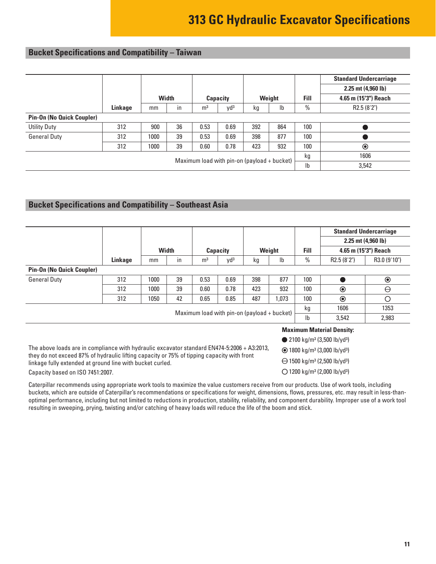#### <span id="page-10-0"></span>**Bucket Specifications and Compatibility – Taiwan**

|                                  |                                               |                |              |                |                 |     |                           |               | <b>Standard Undercarriage</b> |
|----------------------------------|-----------------------------------------------|----------------|--------------|----------------|-----------------|-----|---------------------------|---------------|-------------------------------|
|                                  |                                               |                |              |                |                 |     |                           |               | $2.25$ mt $(4,960$ lb)        |
|                                  |                                               |                | <b>Width</b> |                | Capacity        |     | Weight                    | Fill          | 4.65 m (15'3") Reach          |
|                                  | Linkage                                       | mm             | in           | m <sup>3</sup> | Vd <sup>3</sup> | kg  | $\mathsf{I}^{\mathsf{b}}$ | $\frac{0}{0}$ | R2.5 (8'2")                   |
| <b>Pin-On (No Quick Coupler)</b> |                                               |                |              |                |                 |     |                           |               |                               |
| <b>Utility Duty</b>              | 312                                           | 900            | 36           | 0.53           | 0.69            | 392 | 864                       | 100           |                               |
| <b>General Duty</b>              | 312                                           | 1000           | 39           | 0.53           | 0.69            | 398 | 877                       | 100           |                               |
|                                  | 312                                           | 1000           | 39           | 0.60           | 0.78            | 423 | 932                       | 100           | $\odot$                       |
|                                  | 1606                                          |                |              |                |                 |     |                           |               |                               |
|                                  | Maximum load with $pin-on$ (payload + bucket) | I <sub>b</sub> | 3,542        |                |                 |     |                           |               |                               |

#### **Bucket Specifications and Compatibility – Southeast Asia**

|                                                                                             |         |      |              |                |                 |                                               |        |      |                                                           | <b>Standard Undercarriage</b> |  |  |
|---------------------------------------------------------------------------------------------|---------|------|--------------|----------------|-----------------|-----------------------------------------------|--------|------|-----------------------------------------------------------|-------------------------------|--|--|
|                                                                                             |         |      |              |                |                 |                                               |        |      |                                                           | 2.25 mt (4,960 lb)            |  |  |
|                                                                                             |         |      | <b>Width</b> |                | <b>Capacity</b> |                                               | Weight | Fill |                                                           | 4.65 m (15'3") Reach          |  |  |
|                                                                                             | Linkage | mm   | in           | m <sup>3</sup> | yd <sup>3</sup> | kg                                            | Ib     | $\%$ | R <sub>2.5</sub> (8'2")                                   | R3.0 (9'10")                  |  |  |
| <b>Pin-On (No Quick Coupler)</b>                                                            |         |      |              |                |                 |                                               |        |      |                                                           |                               |  |  |
| <b>General Duty</b>                                                                         | 312     | 1000 | 39           | 0.53           | 0.69            | 398                                           | 877    | 100  |                                                           | $\odot$                       |  |  |
|                                                                                             | 312     | 1000 | 39           | 0.60           | 0.78            | 423                                           | 932    | 100  | $\circledcirc$                                            | Θ                             |  |  |
|                                                                                             | 312     | 1050 | 42           | 0.65           | 0.85            | 487                                           | 1.073  | 100  | $\odot$                                                   | Ο                             |  |  |
|                                                                                             |         |      |              |                |                 |                                               |        | kg   | 1606                                                      | 1353                          |  |  |
|                                                                                             |         |      |              |                |                 | Maximum load with $pin-on$ (payload + bucket) |        | Ib   | 3,542                                                     | 2,983                         |  |  |
| <b>Maximum Material Density:</b>                                                            |         |      |              |                |                 |                                               |        |      |                                                           |                               |  |  |
| • 2100 kg/m <sup>3</sup> (3,500 lb/yd <sup>3</sup> )                                        |         |      |              |                |                 |                                               |        |      |                                                           |                               |  |  |
| The above loads are in compliance with hydraulic excavator standard EN474-5:2006 + A3:2013, |         |      |              |                |                 |                                               |        |      | $\odot$ 1800 kg/m <sup>3</sup> (3,000 lb/yd <sup>3)</sup> |                               |  |  |

they do not exceed 87% of hydraulic lifting capacity or 75% of tipping capacity with front linkage fully extended at ground line with bucket curled. Capacity based on ISO 7451:2007.

- 1800 kg/m3 (3,000 lb/yd3)
- $\bigoplus$  1500 kg/m<sup>3</sup> (2,500 lb/yd<sup>3</sup>)
- 1200 kg/m3 (2,000 lb/yd3)

Caterpillar recommends using appropriate work tools to maximize the value customers receive from our products. Use of work tools, including buckets, which are outside of Caterpillar's recommendations or specifications for weight, dimensions, flows, pressures, etc. may result in less-thanoptimal performance, including but not limited to reductions in production, stability, reliability, and component durability. Improper use of a work tool resulting in sweeping, prying, twisting and/or catching of heavy loads will reduce the life of the boom and stick.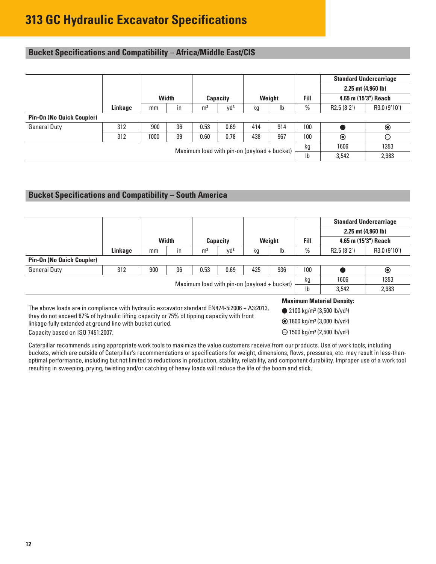#### <span id="page-11-0"></span>**Bucket Specifications and Compatibility – Africa/Middle East/CIS**

|                                  |         |                                               |       |                |                 |     |        |             |                | <b>Standard Undercarriage</b> |
|----------------------------------|---------|-----------------------------------------------|-------|----------------|-----------------|-----|--------|-------------|----------------|-------------------------------|
|                                  |         |                                               |       |                |                 |     |        |             |                | $2.25$ mt $(4,960$ lb)        |
|                                  |         |                                               | Width |                | <b>Capacity</b> |     | Weight | <b>Fill</b> |                | 4.65 m (15'3") Reach          |
|                                  | Linkage | mm                                            | in    | m <sup>3</sup> | yd <sup>3</sup> | kg  | lb     | $\%$        | R2.5 (8'2")    | R3.0 (9'10")                  |
| <b>Pin-On (No Quick Coupler)</b> |         |                                               |       |                |                 |     |        |             |                |                               |
| <b>General Duty</b>              | 312     | 900                                           | 36    | 0.53           | 0.69            | 414 | 914    | 100         |                | $\circledcirc$                |
|                                  | 312     | 1000                                          | 39    | 0.60           | 0.78            | 438 | 967    | 100         | $\circledcirc$ | $\ominus$                     |
|                                  |         | Maximum load with $pin-on$ (payload + bucket) | kg    | 1606           | 1353            |     |        |             |                |                               |
|                                  |         |                                               |       |                |                 |     | Ib     | 3,542       | 2,983          |                               |

#### **Bucket Specifications and Compatibility – South America**

|                                                                                                                                                        |         |     |              |                                  |                                               |     |      |                      |                                                            | <b>Standard Undercarriage</b> |  |
|--------------------------------------------------------------------------------------------------------------------------------------------------------|---------|-----|--------------|----------------------------------|-----------------------------------------------|-----|------|----------------------|------------------------------------------------------------|-------------------------------|--|
|                                                                                                                                                        |         |     |              |                                  |                                               |     |      |                      | $2.25$ mt $(4,960)$                                        |                               |  |
|                                                                                                                                                        |         |     | Width        | <b>Weight</b><br><b>Capacity</b> |                                               |     | Fill | 4.65 m (15'3") Reach |                                                            |                               |  |
|                                                                                                                                                        | Linkage | mm  | $\mathsf{I}$ | m <sup>3</sup>                   | Vd <sup>3</sup>                               | kg  | Ib   | $\%$                 | R <sub>2.5</sub> (8'2")                                    | R3.0 (9'10")                  |  |
| <b>Pin-On (No Quick Coupler)</b>                                                                                                                       |         |     |              |                                  |                                               |     |      |                      |                                                            |                               |  |
| <b>General Duty</b>                                                                                                                                    | 312     | 900 | 36           | 0.53                             | 0.69                                          | 425 | 936  | 100                  |                                                            | $_{\textstyle\odot}$          |  |
|                                                                                                                                                        |         |     |              |                                  |                                               |     |      | kg                   | 1606                                                       | 1353                          |  |
|                                                                                                                                                        |         |     |              |                                  | Maximum load with $pin-on (payload + bucket)$ |     |      | Ib                   | 3,542                                                      | 2,983                         |  |
|                                                                                                                                                        |         |     |              |                                  |                                               |     |      |                      | <b>Maximum Material Density:</b>                           |                               |  |
| The above loads are in compliance with hydraulic excavator standard EN474-5:2006 + A3:2013,                                                            |         |     |              |                                  |                                               |     |      |                      | • 2100 kg/m <sup>3</sup> (3,500 lb/yd <sup>3</sup> )       |                               |  |
| they do not exceed 87% of hydraulic lifting capacity or 75% of tipping capacity with front<br>linkage fully extended at ground line with bucket curled |         |     |              |                                  |                                               |     |      |                      | $\odot$ 1800 kg/m <sup>3</sup> (3,000 lb/yd <sup>3</sup> ) |                               |  |

linkage fully extended at ground line with bucket curled. Capacity based on ISO 7451:2007.

 $\ominus$  1500 kg/m<sup>3</sup> (2,500 lb/yd<sup>3</sup>)

Caterpillar recommends using appropriate work tools to maximize the value customers receive from our products. Use of work tools, including buckets, which are outside of Caterpillar's recommendations or specifications for weight, dimensions, flows, pressures, etc. may result in less-thanoptimal performance, including but not limited to reductions in production, stability, reliability, and component durability. Improper use of a work tool resulting in sweeping, prying, twisting and/or catching of heavy loads will reduce the life of the boom and stick.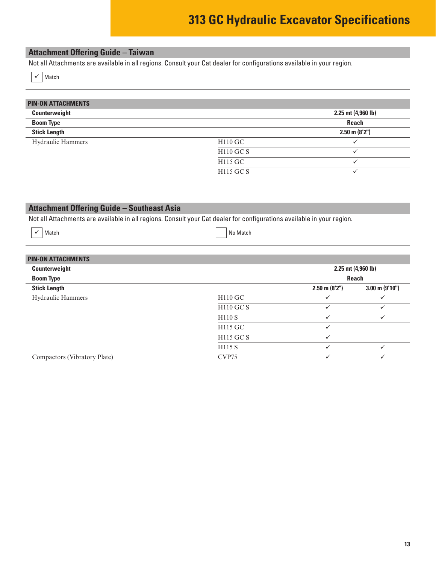#### <span id="page-12-0"></span>**Attachment Offering Guide – Taiwan**

Not all Attachments are available in all regions. Consult your Cat dealer for configurations available in your region.

|  | Match |
|--|-------|
|--|-------|

| <b>PIN-ON ATTACHMENTS</b> |             |                    |
|---------------------------|-------------|--------------------|
| Counterweight             |             | 2.25 mt (4,960 lb) |
| <b>Boom Type</b>          |             | <b>Reach</b>       |
| <b>Stick Length</b>       |             | $2.50$ m $(8'2'')$ |
| <b>Hydraulic Hammers</b>  | $H110$ GC   |                    |
|                           | $H110$ GC S |                    |
|                           | H115 GC     |                    |
|                           | H115 GC S   |                    |

#### **Attachment Offering Guide – Southeast Asia**

Not all Attachments are available in all regions. Consult your Cat dealer for configurations available in your region.

|  | $\checkmark$ Match |  | No Match |
|--|--------------------|--|----------|
|--|--------------------|--|----------|

| <b>PIN-ON ATTACHMENTS</b>    |                    |                    |                          |  |
|------------------------------|--------------------|--------------------|--------------------------|--|
| Counterweight                |                    | 2.25 mt (4,960 lb) |                          |  |
| <b>Boom Type</b>             |                    | Reach              |                          |  |
| <b>Stick Length</b>          |                    | $2.50$ m $(8'2'')$ | $3.00 \text{ m}$ (9'10") |  |
| <b>Hydraulic Hammers</b>     | H110 GC            |                    |                          |  |
|                              | <b>H110 GC S</b>   |                    |                          |  |
|                              | H110S              | $\checkmark$       | $\checkmark$             |  |
|                              | H115 GC            |                    |                          |  |
|                              | H115 GC S          | $\checkmark$       |                          |  |
|                              | H <sub>115</sub> S | $\checkmark$       |                          |  |
| Compactors (Vibratory Plate) | CVP <sub>75</sub>  |                    |                          |  |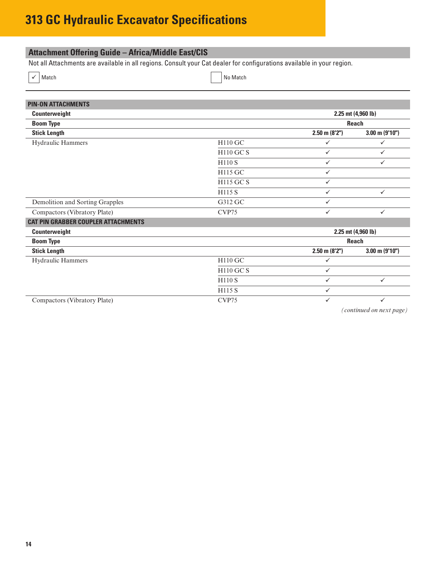#### <span id="page-13-0"></span>**Attachment Offering Guide – Africa/Middle East/CIS**

Not all Attachments are available in all regions. Consult your Cat dealer for configurations available in your region.

 $\sim$  Match No Match No Match  $\sim$ 

| <b>PIN-ON ATTACHMENTS</b>                  |                    |                    |                          |  |
|--------------------------------------------|--------------------|--------------------|--------------------------|--|
| Counterweight                              | 2.25 mt (4,960 lb) |                    |                          |  |
| <b>Boom Type</b>                           |                    |                    | <b>Reach</b>             |  |
| <b>Stick Length</b>                        |                    | $2.50$ m $(8'2'')$ | $3.00 \text{ m}$ (9'10") |  |
| Hydraulic Hammers                          | H110 GC            | ✓                  | $\checkmark$             |  |
|                                            | <b>H110 GC S</b>   | ✓                  | $\checkmark$             |  |
|                                            | <b>H110 S</b>      | $\checkmark$       | $\checkmark$             |  |
|                                            | H115 GC            | ✓                  |                          |  |
|                                            | H115 GC S          | ✓                  |                          |  |
|                                            | H115 S             | ✓                  | $\checkmark$             |  |
| Demolition and Sorting Grapples            | G312 GC            | ✓                  |                          |  |
| Compactors (Vibratory Plate)               | CVP75              | ✓                  | $\checkmark$             |  |
| <b>CAT PIN GRABBER COUPLER ATTACHMENTS</b> |                    |                    |                          |  |
| Counterweight                              |                    |                    | 2.25 mt (4,960 lb)       |  |
| <b>Boom Type</b>                           |                    |                    | Reach                    |  |
| <b>Stick Length</b>                        |                    | $2.50$ m $(8'2'')$ | $3.00 \text{ m}$ (9'10") |  |
| Hydraulic Hammers                          | H110 GC            | ✓                  |                          |  |
|                                            | <b>H110 GC S</b>   | $\checkmark$       |                          |  |
|                                            | H110 S             | ✓                  | $\checkmark$             |  |
|                                            | H115 S             | ✓                  |                          |  |
| Compactors (Vibratory Plate)               | CVP75              | $\checkmark$       | $\checkmark$             |  |

*(continued on next page)*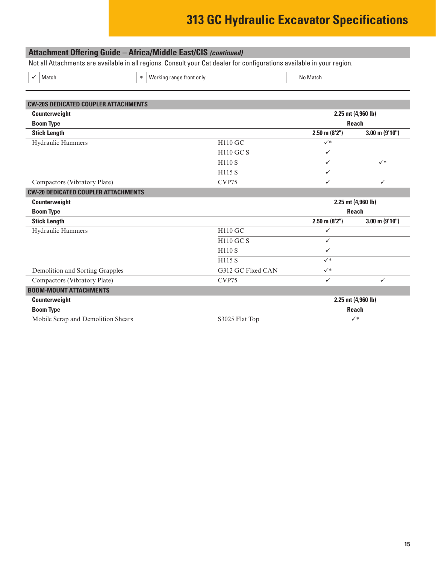| <b>Attachment Offering Guide - Africa/Middle East/CIS (continued)</b>                                                  |                                    |                   |                    |                        |  |
|------------------------------------------------------------------------------------------------------------------------|------------------------------------|-------------------|--------------------|------------------------|--|
| Not all Attachments are available in all regions. Consult your Cat dealer for configurations available in your region. |                                    |                   |                    |                        |  |
| Match                                                                                                                  | Working range front only<br>$\ast$ |                   | No Match           |                        |  |
| <b>CW-20S DEDICATED COUPLER ATTACHMENTS</b>                                                                            |                                    |                   |                    |                        |  |
| Counterweight                                                                                                          |                                    |                   |                    | $2.25$ mt $(4,960$ lb) |  |
| <b>Boom Type</b>                                                                                                       |                                    |                   |                    | <b>Reach</b>           |  |
| <b>Stick Length</b>                                                                                                    |                                    |                   | $2.50$ m $(8'2'')$ | $3.00$ m (9'10")       |  |
| Hydraulic Hammers                                                                                                      |                                    | H110 GC           | $\checkmark$       |                        |  |
|                                                                                                                        |                                    | $H110$ GC S       | $\checkmark$       |                        |  |
|                                                                                                                        |                                    | H110 S            | $\checkmark$       | $\checkmark$           |  |
|                                                                                                                        |                                    | H115 S            | $\checkmark$       |                        |  |
| Compactors (Vibratory Plate)                                                                                           |                                    | CVP75             | $\checkmark$       | $\checkmark$           |  |
| <b>CW-20 DEDICATED COUPLER ATTACHMENTS</b>                                                                             |                                    |                   |                    |                        |  |
| Counterweight                                                                                                          |                                    |                   |                    | 2.25 mt (4,960 lb)     |  |
| <b>Boom Type</b>                                                                                                       |                                    |                   |                    | <b>Reach</b>           |  |
| <b>Stick Length</b>                                                                                                    |                                    |                   | $2.50$ m $(8'2'')$ | $3.00$ m (9'10")       |  |
| Hydraulic Hammers                                                                                                      |                                    | H110 GC           | $\checkmark$       |                        |  |
|                                                                                                                        |                                    | <b>H110 GC S</b>  | $\checkmark$       |                        |  |
|                                                                                                                        |                                    | <b>H110 S</b>     | $\checkmark$       |                        |  |
|                                                                                                                        |                                    | <b>H115 S</b>     | $\checkmark^*$     |                        |  |
| Demolition and Sorting Grapples                                                                                        |                                    | G312 GC Fixed CAN | $\checkmark^*$     |                        |  |
| Compactors (Vibratory Plate)                                                                                           |                                    | CVP75             | $\checkmark$       | $\checkmark$           |  |
| <b>BOOM-MOUNT ATTACHMENTS</b>                                                                                          |                                    |                   |                    |                        |  |
| Counterweight                                                                                                          |                                    |                   |                    | 2.25 mt (4,960 lb)     |  |
| <b>Boom Type</b>                                                                                                       |                                    |                   |                    | <b>Reach</b>           |  |
| Mobile Scrap and Demolition Shears                                                                                     |                                    | S3025 Flat Top    |                    | $\checkmark^*$         |  |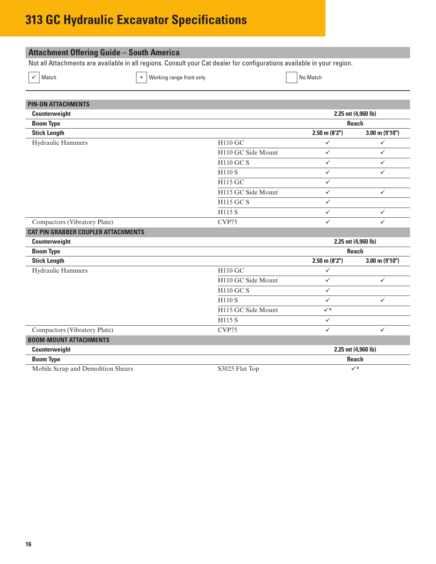<span id="page-15-0"></span>

| <b>Attachment Offering Guide - South America</b>                                                                       |                          |                    |                     |  |
|------------------------------------------------------------------------------------------------------------------------|--------------------------|--------------------|---------------------|--|
| Not all Attachments are available in all regions. Consult your Cat dealer for configurations available in your region. |                          |                    |                     |  |
| Match<br>$\ast$                                                                                                        | Working range front only | No Match           |                     |  |
| <b>PIN-ON ATTACHMENTS</b>                                                                                              |                          |                    |                     |  |
| Counterweight                                                                                                          |                          |                    | 2.25 mt (4,960 lb)  |  |
| <b>Boom Type</b>                                                                                                       |                          |                    | <b>Reach</b>        |  |
| <b>Stick Length</b>                                                                                                    |                          | $2.50$ m $(8'2'')$ | $3.00$ m $(9'10'')$ |  |
| Hydraulic Hammers                                                                                                      | H110 GC                  | $\checkmark$       | $\checkmark$        |  |
|                                                                                                                        | H110 GC Side Mount       | $\checkmark$       | $\checkmark$        |  |
|                                                                                                                        | <b>H110 GC S</b>         | $\checkmark$       | $\checkmark$        |  |
|                                                                                                                        | <b>H110 S</b>            | ✓                  | $\checkmark$        |  |
|                                                                                                                        | H115 GC                  | ✓                  |                     |  |
|                                                                                                                        | H115 GC Side Mount       | $\checkmark$       | $\checkmark$        |  |
|                                                                                                                        | <b>H115 GC S</b>         | $\checkmark$       |                     |  |
|                                                                                                                        | H115 S                   | ✓                  | ✓                   |  |
| Compactors (Vibratory Plate)                                                                                           | CVP75                    | ✓                  | ✓                   |  |
| <b>CAT PIN GRABBER COUPLER ATTACHMENTS</b>                                                                             |                          |                    |                     |  |
| Counterweight                                                                                                          |                          |                    | 2.25 mt (4,960 lb)  |  |
| <b>Boom Type</b>                                                                                                       |                          |                    | <b>Reach</b>        |  |
| <b>Stick Length</b>                                                                                                    |                          | $2.50$ m $(8'2'')$ | $3.00$ m $(9'10'')$ |  |
| Hydraulic Hammers                                                                                                      | <b>H110 GC</b>           | ✓                  |                     |  |
|                                                                                                                        | H110 GC Side Mount       | $\checkmark$       | $\checkmark$        |  |
|                                                                                                                        | <b>H110 GC S</b>         | $\checkmark$       |                     |  |
|                                                                                                                        | <b>H110 S</b>            | ✓                  | $\checkmark$        |  |
|                                                                                                                        | H115 GC Side Mount       | $\checkmark^*$     |                     |  |
|                                                                                                                        | H115 S                   | $\checkmark$       |                     |  |
| Compactors (Vibratory Plate)                                                                                           | CVP75                    | ✓                  | $\checkmark$        |  |
| <b>BOOM-MOUNT ATTACHMENTS</b>                                                                                          |                          |                    |                     |  |
| Counterweight                                                                                                          |                          | 2.25 mt (4,960 lb) |                     |  |
| <b>Boom Type</b>                                                                                                       |                          |                    | <b>Reach</b>        |  |
| Mobile Scrap and Demolition Shears                                                                                     | S3025 Flat Top           |                    | $\checkmark^*$      |  |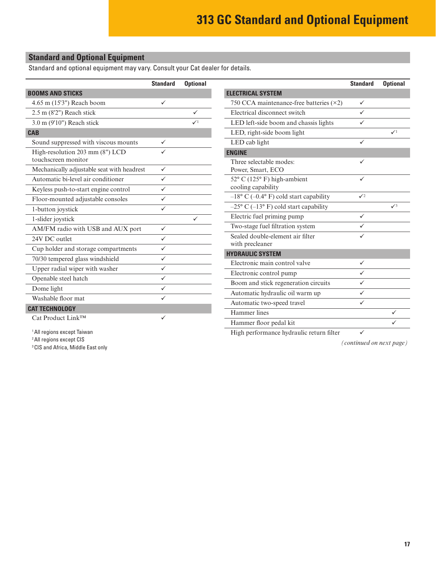#### <span id="page-16-0"></span>**Standard and Optional Equipment**

Standard and optional equipment may vary. Consult your Cat dealer for details.

|                                            | <b>Standard</b> | <b>Optional</b> |                                                 | <b>Standard</b> | <b>Optional</b> |
|--------------------------------------------|-----------------|-----------------|-------------------------------------------------|-----------------|-----------------|
| <b>BOOMS AND STICKS</b>                    |                 |                 | <b>ELECTRICAL SYSTEM</b>                        |                 |                 |
| 4.65 m (15'3") Reach boom                  | $\checkmark$    |                 | 750 CCA maintenance-free batteries $(\times 2)$ | $\checkmark$    |                 |
| 2.5 m (8'2") Reach stick                   |                 | $\checkmark$    | Electrical disconnect switch                    | $\checkmark$    |                 |
| 3.0 m (9'10") Reach stick                  |                 | $\sqrt{1}$      | LED left-side boom and chassis lights           | $\checkmark$    |                 |
| <b>CAB</b>                                 |                 |                 | LED, right-side boom light                      |                 | $\checkmark$    |
| Sound suppressed with viscous mounts       | $\checkmark$    |                 | LED cab light                                   | $\checkmark$    |                 |
| High-resolution 203 mm (8") LCD            | ✓               |                 | <b>ENGINE</b>                                   |                 |                 |
| touchscreen monitor                        |                 |                 | Three selectable modes:                         | ✓               |                 |
| Mechanically adjustable seat with headrest | $\checkmark$    |                 | Power, Smart, ECO                               |                 |                 |
| Automatic bi-level air conditioner         | $\checkmark$    |                 | 52° C (125° F) high-ambient                     | $\checkmark$    |                 |
| Keyless push-to-start engine control       | $\checkmark$    |                 | cooling capability                              |                 |                 |
| Floor-mounted adjustable consoles          | $\checkmark$    |                 | $-18$ ° C (-0.4° F) cold start capability       | $\sqrt{2}$      |                 |
| 1-button joystick                          | $\checkmark$    |                 | $-25$ ° C ( $-13$ ° F) cold start capability    |                 | $\sqrt{3}$      |
| 1-slider joystick                          |                 | $\checkmark$    | Electric fuel priming pump                      | $\checkmark$    |                 |
| AM/FM radio with USB and AUX port          | $\checkmark$    |                 | Two-stage fuel filtration system                | ✓               |                 |
| 24V DC outlet                              | $\checkmark$    |                 | Sealed double-element air filter                | ✓               |                 |
| Cup holder and storage compartments        | $\checkmark$    |                 | with precleaner                                 |                 |                 |
| 70/30 tempered glass windshield            | $\checkmark$    |                 | <b>HYDRAULIC SYSTEM</b>                         | $\checkmark$    |                 |
| Upper radial wiper with washer             | $\checkmark$    |                 | Electronic main control valve                   | $\checkmark$    |                 |
| Openable steel hatch                       | $\checkmark$    |                 | Electronic control pump                         |                 |                 |
| Dome light                                 | $\checkmark$    |                 | Boom and stick regeneration circuits            | $\checkmark$    |                 |
| Washable floor mat                         | $\checkmark$    |                 | Automatic hydraulic oil warm up                 | $\checkmark$    |                 |
| <b>CAT TECHNOLOGY</b>                      |                 |                 | Automatic two-speed travel                      | $\checkmark$    |                 |
| $C_{\alpha A}$ Days deeper Links LTM.      | $\sqrt{2}$      |                 | Hammer lines                                    |                 | ✓               |

Cat Product Link<sup>™</sup>

1All regions except Taiwan

2All regions except CIS

3CIS and Africa, Middle East only

High performance hydraulic return filter  $\checkmark$ 

Hammer floor pedal kit  $\checkmark$ 

*(continued on next page)*